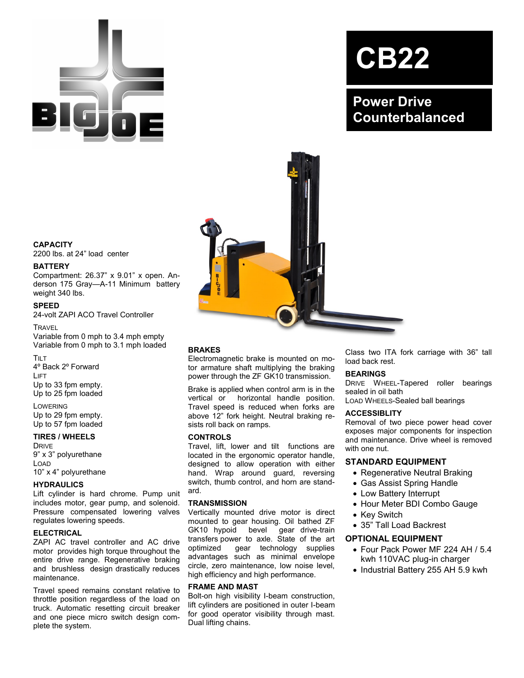

# **CB22**

**Power Drive Counterbalanced**



# **CAPACITY**

2200 lbs. at 24" load center

## **BATTERY**

Compartment: 26.37" x 9.01" x open. Anderson 175 Gray—A-11 Minimum battery weight 340 lbs.

## **SPEED**

24-volt ZAPI ACO Travel Controller

**TRAVEL** 

Variable from 0 mph to 3.4 mph empty Variable from 0 mph to 3.1 mph loaded

TILT 4º Back 2º Forward LIFT Up to 33 fpm empty. Up to 25 fpm loaded

LOWERING Up to 29 fpm empty. Up to 57 fpm loaded

## **TIRES / WHEELS**

DRIVE 9" x 3" polyurethane LOAD 10" x 4" polyurethane

## **HYDRAULICS**

Lift cylinder is hard chrome. Pump unit includes motor, gear pump, and solenoid. Pressure compensated lowering valves regulates lowering speeds.

## **ELECTRICAL**

ZAPI AC travel controller and AC drive motor provides high torque throughout the entire drive range. Regenerative braking and brushless design drastically reduces maintenance.

Travel speed remains constant relative to throttle position regardless of the load on truck. Automatic resetting circuit breaker and one piece micro switch design complete the system.

# **BRAKES**

Electromagnetic brake is mounted on motor armature shaft multiplying the braking power through the ZF GK10 transmission.

Brake is applied when control arm is in the vertical or horizontal handle position. Travel speed is reduced when forks are above 12" fork height. Neutral braking resists roll back on ramps.

## **CONTROLS**

Travel, lift, lower and tilt functions are located in the ergonomic operator handle, designed to allow operation with either hand. Wrap around guard, reversing switch, thumb control, and horn are standard.

## **TRANSMISSION**

Vertically mounted drive motor is direct mounted to gear housing. Oil bathed ZF GK10 hypoid bevel gear drive-train transfers power to axle. State of the art optimized gear technology supplies advantages such as minimal envelope circle, zero maintenance, low noise level, high efficiency and high performance.

## **FRAME AND MAST**

Bolt-on high visibility I-beam construction, lift cylinders are positioned in outer I-beam for good operator visibility through mast. Dual lifting chains.

Class two ITA fork carriage with 36" tall load back rest.

## **BEARINGS**

DRIVE WHEEL-Tapered roller bearings sealed in oil bath

LOAD WHEELS-Sealed ball bearings

## **ACCESSIBLITY**

Removal of two piece power head cover exposes major components for inspection and maintenance. Drive wheel is removed with one nut.

# **STANDARD EQUIPMENT**

- Regenerative Neutral Braking
- Gas Assist Spring Handle
- Low Battery Interrupt
- Hour Meter BDI Combo Gauge
- Key Switch
- 35" Tall Load Backrest

# **OPTIONAL EQUIPMENT**

- Four Pack Power MF 224 AH / 5.4 kwh 110VAC plug-in charger
- Industrial Battery 255 AH 5.9 kwh